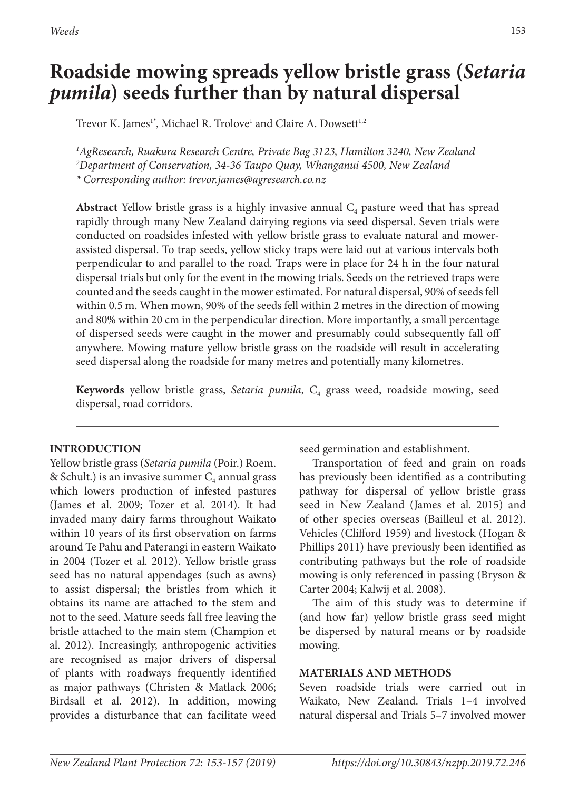*Weeds* 153

# **Roadside mowing spreads yellow bristle grass (***Setaria pumila***) seeds further than by natural dispersal**

Trevor K. James $^1$ \*, Michael R. Trolove $^1$  and Claire A. Dowsett $^{1,2}$ 

*1 AgResearch, Ruakura Research Centre, Private Bag 3123, Hamilton 3240, New Zealand 2 Department of Conservation, 34-36 Taupo Quay, Whanganui 4500, New Zealand \* Corresponding author: trevor.james@agresearch.co.nz*

**Abstract** Yellow bristle grass is a highly invasive annual  $C_4$  pasture weed that has spread rapidly through many New Zealand dairying regions via seed dispersal. Seven trials were conducted on roadsides infested with yellow bristle grass to evaluate natural and mowerassisted dispersal. To trap seeds, yellow sticky traps were laid out at various intervals both perpendicular to and parallel to the road. Traps were in place for 24 h in the four natural dispersal trials but only for the event in the mowing trials. Seeds on the retrieved traps were counted and the seeds caught in the mower estimated. For natural dispersal, 90% of seeds fell within 0.5 m. When mown, 90% of the seeds fell within 2 metres in the direction of mowing and 80% within 20 cm in the perpendicular direction. More importantly, a small percentage of dispersed seeds were caught in the mower and presumably could subsequently fall off anywhere. Mowing mature yellow bristle grass on the roadside will result in accelerating seed dispersal along the roadside for many metres and potentially many kilometres.

**Keywords** yellow bristle grass, *Setaria pumila*, C<sub>4</sub> grass weed, roadside mowing, seed dispersal, road corridors.

# **INTRODUCTION**

Yellow bristle grass (*Setaria pumila* (Poir.) Roem. & Schult.) is an invasive summer  $C_4$  annual grass which lowers production of infested pastures (James et al. 2009; Tozer et al. 2014). It had invaded many dairy farms throughout Waikato within 10 years of its first observation on farms around Te Pahu and Paterangi in eastern Waikato in 2004 (Tozer et al. 2012). Yellow bristle grass seed has no natural appendages (such as awns) to assist dispersal; the bristles from which it obtains its name are attached to the stem and not to the seed. Mature seeds fall free leaving the bristle attached to the main stem (Champion et al. 2012). Increasingly, anthropogenic activities are recognised as major drivers of dispersal of plants with roadways frequently identified as major pathways (Christen & Matlack 2006; Birdsall et al. 2012). In addition, mowing provides a disturbance that can facilitate weed

seed germination and establishment.

Transportation of feed and grain on roads has previously been identified as a contributing pathway for dispersal of yellow bristle grass seed in New Zealand (James et al. 2015) and of other species overseas (Bailleul et al. 2012). Vehicles (Clifford 1959) and livestock (Hogan & Phillips 2011) have previously been identified as contributing pathways but the role of roadside mowing is only referenced in passing (Bryson & Carter 2004; Kalwij et al. 2008).

The aim of this study was to determine if (and how far) yellow bristle grass seed might be dispersed by natural means or by roadside mowing.

## **MATERIALS AND METHODS**

Seven roadside trials were carried out in Waikato, New Zealand. Trials 1–4 involved natural dispersal and Trials 5–7 involved mower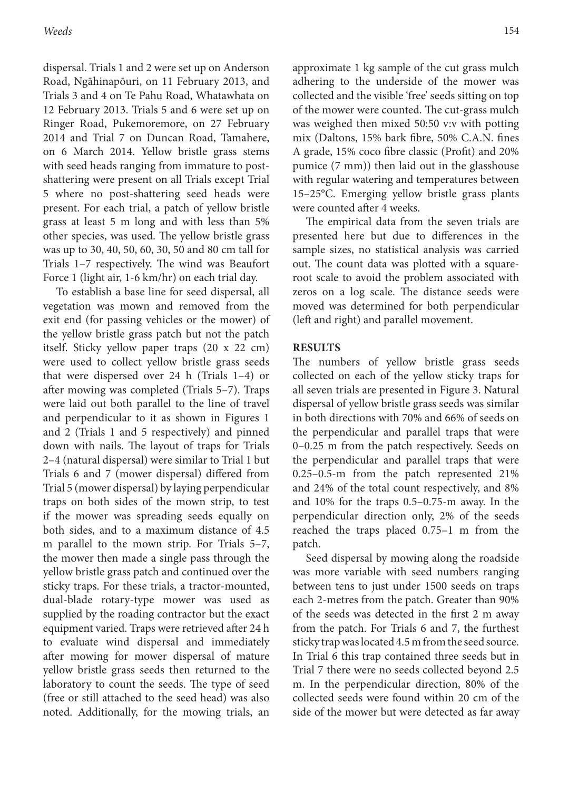dispersal. Trials 1 and 2 were set up on Anderson Road, Ngāhinapōuri, on 11 February 2013, and Trials 3 and 4 on Te Pahu Road, Whatawhata on 12 February 2013. Trials 5 and 6 were set up on Ringer Road, Pukemoremore, on 27 February 2014 and Trial 7 on Duncan Road, Tamahere, on 6 March 2014. Yellow bristle grass stems with seed heads ranging from immature to postshattering were present on all Trials except Trial 5 where no post-shattering seed heads were present. For each trial, a patch of yellow bristle grass at least 5 m long and with less than 5% other species, was used. The yellow bristle grass was up to 30, 40, 50, 60, 30, 50 and 80 cm tall for Trials 1–7 respectively. The wind was Beaufort Force 1 (light air, 1-6 km/hr) on each trial day.

To establish a base line for seed dispersal, all vegetation was mown and removed from the exit end (for passing vehicles or the mower) of the yellow bristle grass patch but not the patch itself. Sticky yellow paper traps (20 x 22 cm) were used to collect yellow bristle grass seeds that were dispersed over 24 h (Trials 1–4) or after mowing was completed (Trials 5–7). Traps were laid out both parallel to the line of travel and perpendicular to it as shown in Figures 1 and 2 (Trials 1 and 5 respectively) and pinned down with nails. The layout of traps for Trials 2–4 (natural dispersal) were similar to Trial 1 but Trials 6 and 7 (mower dispersal) differed from Trial 5 (mower dispersal) by laying perpendicular traps on both sides of the mown strip, to test if the mower was spreading seeds equally on both sides, and to a maximum distance of 4.5 m parallel to the mown strip. For Trials 5–7, the mower then made a single pass through the yellow bristle grass patch and continued over the sticky traps. For these trials, a tractor-mounted, dual-blade rotary-type mower was used as supplied by the roading contractor but the exact equipment varied. Traps were retrieved after 24 h to evaluate wind dispersal and immediately after mowing for mower dispersal of mature yellow bristle grass seeds then returned to the laboratory to count the seeds. The type of seed (free or still attached to the seed head) was also noted. Additionally, for the mowing trials, an

approximate 1 kg sample of the cut grass mulch adhering to the underside of the mower was collected and the visible 'free' seeds sitting on top of the mower were counted. The cut-grass mulch was weighed then mixed 50:50 v:v with potting mix (Daltons, 15% bark fibre, 50% C.A.N. fines A grade, 15% coco fibre classic (Profit) and 20% pumice (7 mm)) then laid out in the glasshouse with regular watering and temperatures between 15–25°C. Emerging yellow bristle grass plants were counted after 4 weeks.

The empirical data from the seven trials are presented here but due to differences in the sample sizes, no statistical analysis was carried out. The count data was plotted with a squareroot scale to avoid the problem associated with zeros on a log scale. The distance seeds were moved was determined for both perpendicular (left and right) and parallel movement.

#### **RESULTS**

The numbers of yellow bristle grass seeds collected on each of the yellow sticky traps for all seven trials are presented in Figure 3. Natural dispersal of yellow bristle grass seeds was similar in both directions with 70% and 66% of seeds on the perpendicular and parallel traps that were 0–0.25 m from the patch respectively. Seeds on the perpendicular and parallel traps that were 0.25–0.5-m from the patch represented 21% and 24% of the total count respectively, and 8% and 10% for the traps 0.5–0.75-m away. In the perpendicular direction only, 2% of the seeds reached the traps placed 0.75–1 m from the patch.

Seed dispersal by mowing along the roadside was more variable with seed numbers ranging between tens to just under 1500 seeds on traps each 2-metres from the patch. Greater than 90% of the seeds was detected in the first 2 m away from the patch. For Trials 6 and 7, the furthest sticky trap was located 4.5 m from the seed source. In Trial 6 this trap contained three seeds but in Trial 7 there were no seeds collected beyond 2.5 m. In the perpendicular direction, 80% of the collected seeds were found within 20 cm of the side of the mower but were detected as far away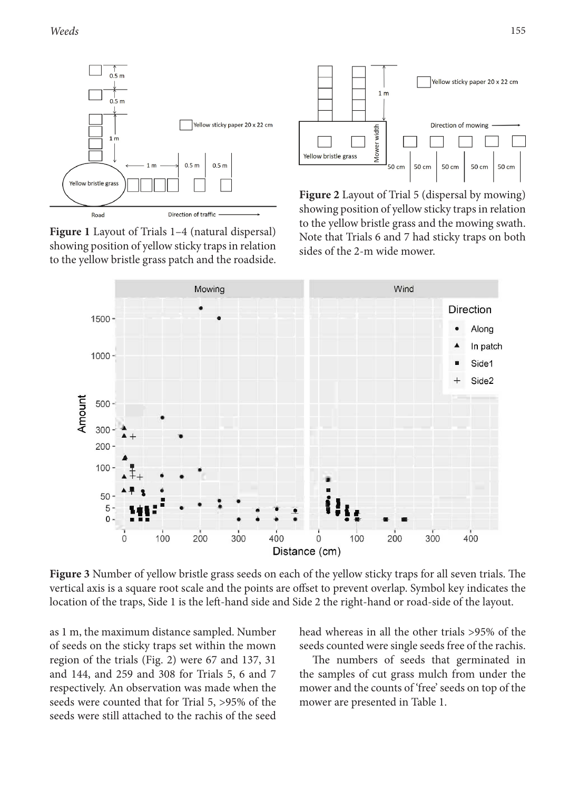

**Figure 1** Layout of Trials 1–4 (natural dispersal) showing position of yellow sticky traps in relation to the yellow bristle grass patch and the roadside.



**Figure 2** Layout of Trial 5 (dispersal by mowing) showing position of yellow sticky traps in relation to the yellow bristle grass and the mowing swath. Note that Trials 6 and 7 had sticky traps on both sides of the 2-m wide mower.



**Figure 3** Number of yellow bristle grass seeds on each of the yellow sticky traps for all seven trials. The vertical axis is a square root scale and the points are offset to prevent overlap. Symbol key indicates the location of the traps, Side 1 is the left-hand side and Side 2 the right-hand or road-side of the layout.

as 1 m, the maximum distance sampled. Number of seeds on the sticky traps set within the mown region of the trials (Fig. 2) were 67 and 137, 31 and 144, and 259 and 308 for Trials 5, 6 and 7 respectively. An observation was made when the seeds were counted that for Trial 5, >95% of the seeds were still attached to the rachis of the seed head whereas in all the other trials >95% of the seeds counted were single seeds free of the rachis.

The numbers of seeds that germinated in the samples of cut grass mulch from under the mower and the counts of 'free' seeds on top of the mower are presented in Table 1.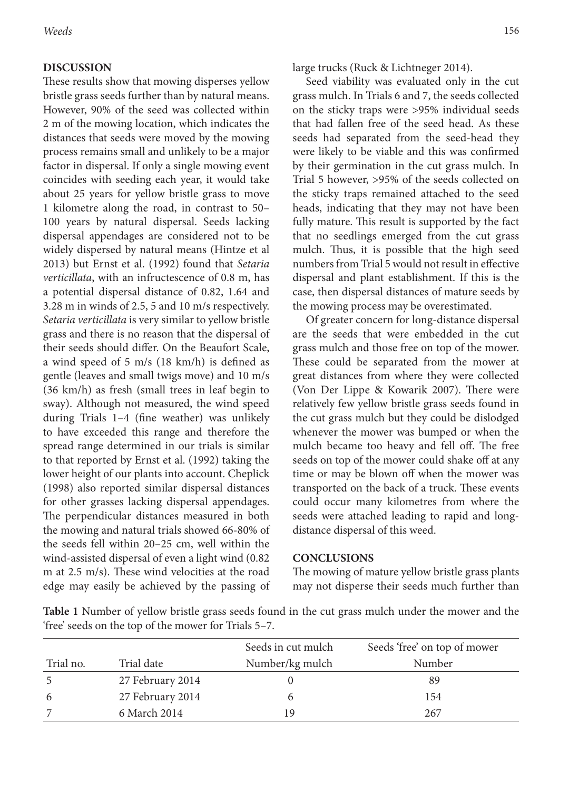#### **DISCUSSION**

These results show that mowing disperses yellow bristle grass seeds further than by natural means. However, 90% of the seed was collected within 2 m of the mowing location, which indicates the distances that seeds were moved by the mowing process remains small and unlikely to be a major factor in dispersal. If only a single mowing event coincides with seeding each year, it would take about 25 years for yellow bristle grass to move 1 kilometre along the road, in contrast to 50– 100 years by natural dispersal. Seeds lacking dispersal appendages are considered not to be widely dispersed by natural means (Hintze et al 2013) but Ernst et al. (1992) found that *Setaria verticillata*, with an infructescence of 0.8 m, has a potential dispersal distance of 0.82, 1.64 and 3.28 m in winds of 2.5, 5 and 10 m/s respectively. *Setaria verticillata* is very similar to yellow bristle grass and there is no reason that the dispersal of their seeds should differ. On the Beaufort Scale, a wind speed of 5 m/s (18 km/h) is defined as gentle (leaves and small twigs move) and 10 m/s (36 km/h) as fresh (small trees in leaf begin to sway). Although not measured, the wind speed during Trials 1–4 (fine weather) was unlikely to have exceeded this range and therefore the spread range determined in our trials is similar to that reported by Ernst et al. (1992) taking the lower height of our plants into account. Cheplick (1998) also reported similar dispersal distances for other grasses lacking dispersal appendages. The perpendicular distances measured in both the mowing and natural trials showed 66-80% of the seeds fell within 20–25 cm, well within the wind-assisted dispersal of even a light wind (0.82 m at 2.5 m/s). These wind velocities at the road edge may easily be achieved by the passing of

large trucks (Ruck & Lichtneger 2014).

Seed viability was evaluated only in the cut grass mulch. In Trials 6 and 7, the seeds collected on the sticky traps were >95% individual seeds that had fallen free of the seed head. As these seeds had separated from the seed-head they were likely to be viable and this was confirmed by their germination in the cut grass mulch. In Trial 5 however, >95% of the seeds collected on the sticky traps remained attached to the seed heads, indicating that they may not have been fully mature. This result is supported by the fact that no seedlings emerged from the cut grass mulch. Thus, it is possible that the high seed numbers from Trial 5 would not result in effective dispersal and plant establishment. If this is the case, then dispersal distances of mature seeds by the mowing process may be overestimated.

Of greater concern for long-distance dispersal are the seeds that were embedded in the cut grass mulch and those free on top of the mower. These could be separated from the mower at great distances from where they were collected (Von Der Lippe & Kowarik 2007). There were relatively few yellow bristle grass seeds found in the cut grass mulch but they could be dislodged whenever the mower was bumped or when the mulch became too heavy and fell off. The free seeds on top of the mower could shake off at any time or may be blown off when the mower was transported on the back of a truck. These events could occur many kilometres from where the seeds were attached leading to rapid and longdistance dispersal of this weed.

#### **CONCLUSIONS**

The mowing of mature yellow bristle grass plants may not disperse their seeds much further than

**Table 1** Number of yellow bristle grass seeds found in the cut grass mulch under the mower and the 'free' seeds on the top of the mower for Trials 5–7.

|           |                  | Seeds in cut mulch | Seeds 'free' on top of mower |
|-----------|------------------|--------------------|------------------------------|
| Trial no. | Trial date       | Number/kg mulch    | Number                       |
| -5        | 27 February 2014 |                    | 89                           |
| -6        | 27 February 2014 |                    | 154                          |
|           | 6 March 2014     | 19                 | 267                          |